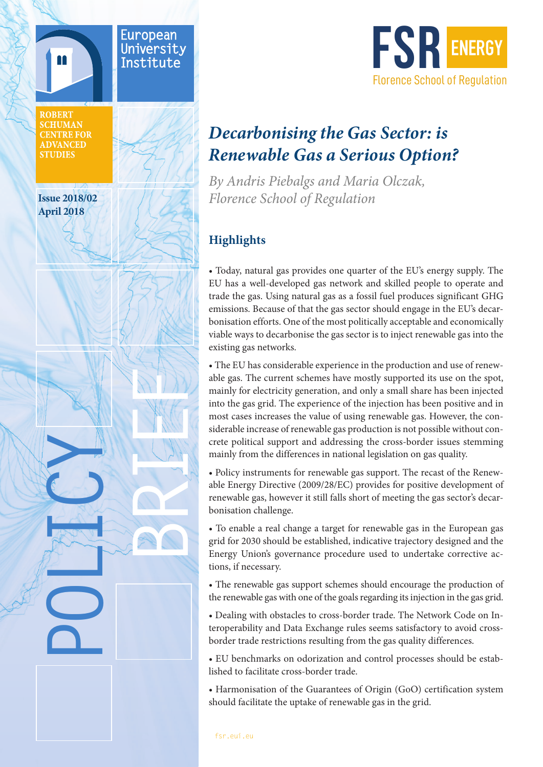



# *Decarbonising the Gas Sector: is Renewable Gas a Serious Option?*

*By Andris Piebalgs and Maria Olczak, Florence School of Regulation*

## **Highlights**

• Today, natural gas provides one quarter of the EU's energy supply. The EU has a well-developed gas network and skilled people to operate and trade the gas. Using natural gas as a fossil fuel produces significant GHG emissions. Because of that the gas sector should engage in the EU's decarbonisation efforts. One of the most politically acceptable and economically viable ways to decarbonise the gas sector is to inject renewable gas into the existing gas networks.

• The EU has considerable experience in the production and use of renewable gas. The current schemes have mostly supported its use on the spot, mainly for electricity generation, and only a small share has been injected into the gas grid. The experience of the injection has been positive and in most cases increases the value of using renewable gas. However, the considerable increase of renewable gas production is not possible without concrete political support and addressing the cross-border issues stemming mainly from the differences in national legislation on gas quality.

• Policy instruments for renewable gas support. The recast of the Renewable Energy Directive (2009/28/EC) provides for positive development of renewable gas, however it still falls short of meeting the gas sector's decarbonisation challenge.

• To enable a real change a target for renewable gas in the European gas grid for 2030 should be established, indicative trajectory designed and the Energy Union's governance procedure used to undertake corrective actions, if necessary.

• The renewable gas support schemes should encourage the production of the renewable gas with one of the goals regarding its injection in the gas grid.

• Dealing with obstacles to cross-border trade. The Network Code on Interoperability and Data Exchange rules seems satisfactory to avoid crossborder trade restrictions resulting from the gas quality differences.

• EU benchmarks on odorization and control processes should be established to facilitate cross-border trade.

• Harmonisation of the Guarantees of Origin (GoO) certification system should facilitate the uptake of renewable gas in the grid.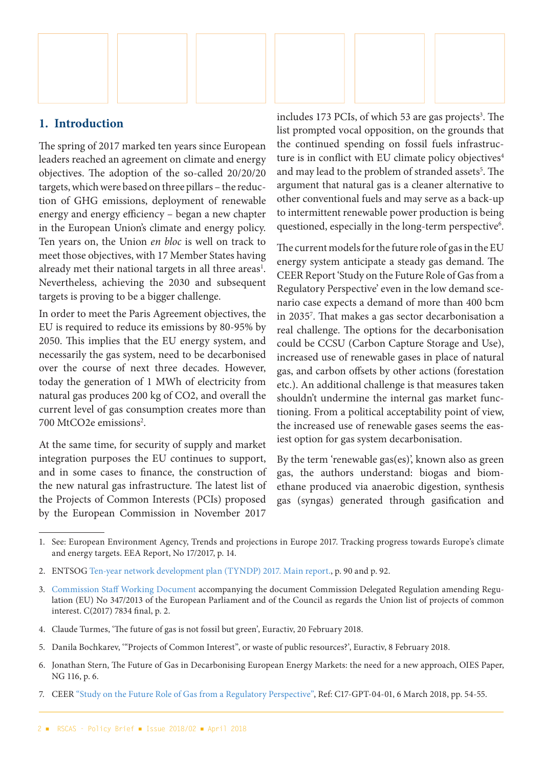

#### **1. Introduction**

The spring of 2017 marked ten years since European leaders reached an agreement on climate and energy objectives. The adoption of the so-called 20/20/20 targets, which were based on three pillars – the reduction of GHG emissions, deployment of renewable energy and energy efficiency – began a new chapter in the European Union's climate and energy policy. Ten years on, the Union *en bloc* is well on track to meet those objectives, with 17 Member States having already met their national targets in all three areas<sup>1</sup>. Nevertheless, achieving the 2030 and subsequent targets is proving to be a bigger challenge.

In order to meet the Paris Agreement objectives, the EU is required to reduce its emissions by 80-95% by 2050. This implies that the EU energy system, and necessarily the gas system, need to be decarbonised over the course of next three decades. However, today the generation of 1 MWh of electricity from natural gas produces 200 kg of CO2, and overall the current level of gas consumption creates more than 700 MtCO2e emissions<sup>2</sup>.

At the same time, for security of supply and market integration purposes the EU continues to support, and in some cases to finance, the construction of the new natural gas infrastructure. The latest list of the Projects of Common Interests (PCIs) proposed by the European Commission in November 2017

includes 173 PCIs, of which 53 are gas projects<sup>3</sup>. The list prompted vocal opposition, on the grounds that the continued spending on fossil fuels infrastructure is in conflict with EU climate policy objectives $4$ and may lead to the problem of stranded assets<sup>5</sup>. The argument that natural gas is a cleaner alternative to other conventional fuels and may serve as a back-up to intermittent renewable power production is being questioned, especially in the long-term perspective<sup>6</sup>.

The current models for the future role of gas in the EU energy system anticipate a steady gas demand. The CEER Report 'Study on the Future Role of Gas from a Regulatory Perspective' even in the low demand scenario case expects a demand of more than 400 bcm in 20357 . That makes a gas sector decarbonisation a real challenge. The options for the decarbonisation could be CCSU (Carbon Capture Storage and Use), increased use of renewable gases in place of natural gas, and carbon offsets by other actions (forestation etc.). An additional challenge is that measures taken shouldn't undermine the internal gas market functioning. From a political acceptability point of view, the increased use of renewable gases seems the easiest option for gas system decarbonisation.

By the term 'renewable gas(es)', known also as green gas, the authors understand: biogas and biomethane produced via anaerobic digestion, synthesis gas (syngas) generated through gasification and

- 4. Claude Turmes, 'The future of gas is not fossil but green', Euractiv, 20 February 2018.
- 5. Danila Bochkarev, '"Projects of Common Interest", or waste of public resources?', Euractiv, 8 February 2018.
- 6. Jonathan Stern, The Future of Gas in Decarbonising European Energy Markets: the need for a new approach, OIES Paper, NG 116, p. 6.
- 7. CEER "[Study on the Future Role of Gas from a Regulatory Perspective"](https://www.ceer.eu/documents/104400/-/-/6a6c72de-225a-b350-e30a-dd12bdf22378), Ref: C17-GPT-04-01, 6 March 2018, pp. 54-55.

<sup>1.</sup> See: European Environment Agency, Trends and projections in Europe 2017. Tracking progress towards Europe's climate and energy targets. EEA Report, No 17/2017, p. 14.

<sup>2.</sup> ENTSOG [Ten-year network development plan \(TYNDP\) 2017. Main report](https://www.entsog.eu/public/uploads/files/publications/tyndp/2017/entsog_tyndp_2017_main_170428_web_xs.pdf)., p. 90 and p. 92.

<sup>3.</sup> [Commission Staff Working Document](https://ec.europa.eu/energy/sites/ener/files/documents/swd_accompanying_pci_list_final_2017_en.pdf) accompanying the document Commission Delegated Regulation amending Regulation (EU) No 347/2013 of the European Parliament and of the Council as regards the Union list of projects of common interest. C(2017) 7834 final, p. 2.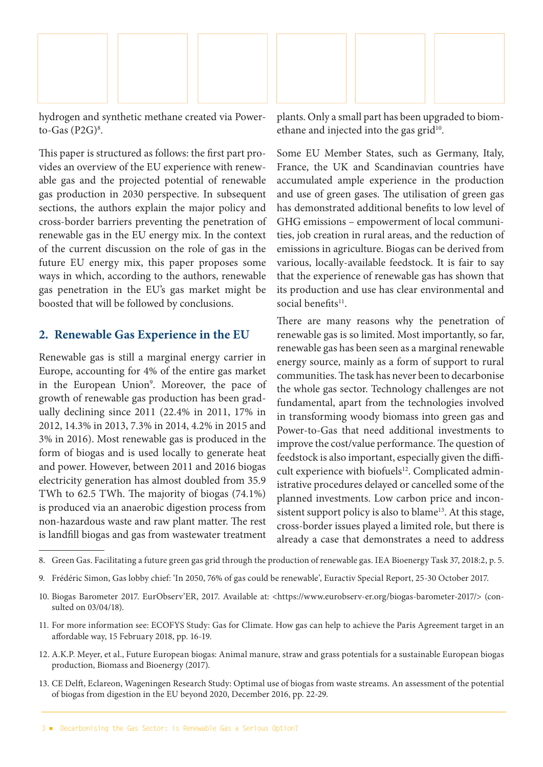

hydrogen and synthetic methane created via Powerto-Gas  $(P2G)^8$ .

This paper is structured as follows: the first part provides an overview of the EU experience with renewable gas and the projected potential of renewable gas production in 2030 perspective. In subsequent sections, the authors explain the major policy and cross-border barriers preventing the penetration of renewable gas in the EU energy mix. In the context of the current discussion on the role of gas in the future EU energy mix, this paper proposes some ways in which, according to the authors, renewable gas penetration in the EU's gas market might be boosted that will be followed by conclusions.

#### **2. Renewable Gas Experience in the EU**

Renewable gas is still a marginal energy carrier in Europe, accounting for 4% of the entire gas market in the European Union<sup>9</sup>. Moreover, the pace of growth of renewable gas production has been gradually declining since 2011 (22.4% in 2011, 17% in 2012, 14.3% in 2013, 7.3% in 2014, 4.2% in 2015 and 3% in 2016). Most renewable gas is produced in the form of biogas and is used locally to generate heat and power. However, between 2011 and 2016 biogas electricity generation has almost doubled from 35.9 TWh to 62.5 TWh. The majority of biogas (74.1%) is produced via an anaerobic digestion process from non-hazardous waste and raw plant matter. The rest is landfill biogas and gas from wastewater treatment

plants. Only a small part has been upgraded to biomethane and injected into the gas grid<sup>10</sup>.

Some EU Member States, such as Germany, Italy, France, the UK and Scandinavian countries have accumulated ample experience in the production and use of green gases. The utilisation of green gas has demonstrated additional benefits to low level of GHG emissions – empowerment of local communities, job creation in rural areas, and the reduction of emissions in agriculture. Biogas can be derived from various, locally-available feedstock. It is fair to say that the experience of renewable gas has shown that its production and use has clear environmental and social benefits<sup>11</sup>.

There are many reasons why the penetration of renewable gas is so limited. Most importantly, so far, renewable gas has been seen as a marginal renewable energy source, mainly as a form of support to rural communities. The task has never been to decarbonise the whole gas sector. Technology challenges are not fundamental, apart from the technologies involved in transforming woody biomass into green gas and Power-to-Gas that need additional investments to improve the cost/value performance. The question of feedstock is also important, especially given the difficult experience with biofuels<sup>12</sup>. Complicated administrative procedures delayed or cancelled some of the planned investments. Low carbon price and inconsistent support policy is also to blame<sup>13</sup>. At this stage, cross-border issues played a limited role, but there is already a case that demonstrates a need to address

- 11. For more information see: ECOFYS Study: Gas for Climate. How gas can help to achieve the Paris Agreement target in an affordable way, 15 February 2018, pp. 16-19.
- 12. A.K.P. Meyer, et al., Future European biogas: Animal manure, straw and grass potentials for a sustainable European biogas production, Biomass and Bioenergy (2017).
- 13. CE Delft, Eclareon, Wageningen Research Study: Optimal use of biogas from waste streams. An assessment of the potential of biogas from digestion in the EU beyond 2020, December 2016, pp. 22-29.

<sup>8.</sup> Green Gas. Facilitating a future green gas grid through the production of renewable gas. IEA Bioenergy Task 37, 2018:2, p. 5.

<sup>9.</sup> Frédéric Simon, Gas lobby chief: 'In 2050, 76% of gas could be renewable', Euractiv Special Report, 25-30 October 2017.

<sup>10.</sup> Biogas Barometer 2017. EurObserv'ER, 2017. Available at: <https://www.eurobserv-er.org/biogas-barometer-2017/> (consulted on 03/04/18).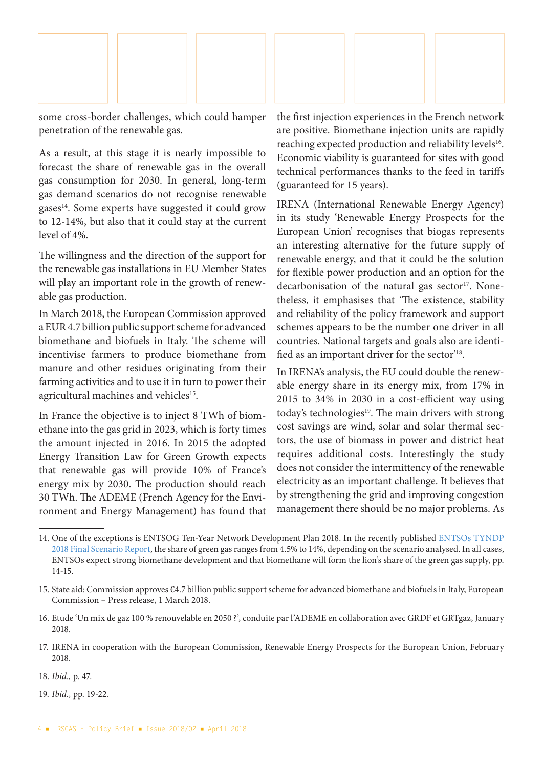

some cross-border challenges, which could hamper penetration of the renewable gas.

As a result, at this stage it is nearly impossible to forecast the share of renewable gas in the overall gas consumption for 2030. In general, long-term gas demand scenarios do not recognise renewable  $gases<sup>14</sup>$ . Some experts have suggested it could grow to 12-14%, but also that it could stay at the current level of 4%.

The willingness and the direction of the support for the renewable gas installations in EU Member States will play an important role in the growth of renewable gas production.

In March 2018, the European Commission approved a EUR 4.7 billion public support scheme for advanced biomethane and biofuels in Italy. The scheme will incentivise farmers to produce biomethane from manure and other residues originating from their farming activities and to use it in turn to power their agricultural machines and vehicles<sup>15</sup>.

In France the objective is to inject 8 TWh of biomethane into the gas grid in 2023, which is forty times the amount injected in 2016. In 2015 the adopted Energy Transition Law for Green Growth expects that renewable gas will provide 10% of France's energy mix by 2030. The production should reach 30 TWh. The ADEME (French Agency for the Environment and Energy Management) has found that the first injection experiences in the French network are positive. Biomethane injection units are rapidly reaching expected production and reliability levels<sup>16</sup>. Economic viability is guaranteed for sites with good technical performances thanks to the feed in tariffs (guaranteed for 15 years).

IRENA (International Renewable Energy Agency) in its study 'Renewable Energy Prospects for the European Union' recognises that biogas represents an interesting alternative for the future supply of renewable energy, and that it could be the solution for flexible power production and an option for the decarbonisation of the natural gas sector<sup>17</sup>. Nonetheless, it emphasises that 'The existence, stability and reliability of the policy framework and support schemes appears to be the number one driver in all countries. National targets and goals also are identified as an important driver for the sector'18.

In IRENA's analysis, the EU could double the renewable energy share in its energy mix, from 17% in 2015 to 34% in 2030 in a cost-efficient way using today's technologies<sup>19</sup>. The main drivers with strong cost savings are wind, solar and solar thermal sectors, the use of biomass in power and district heat requires additional costs. Interestingly the study does not consider the intermittency of the renewable electricity as an important challenge. It believes that by strengthening the grid and improving congestion management there should be no major problems. As

19. *Ibid.,* pp. 19-22.

<sup>14.</sup> One of the exceptions is ENTSOG Ten-Year Network Development Plan 2018. In the recently published [ENTSOs TYNDP](https://www.entsog.eu/public/uploads/files/publications/tyndp/2018/entsos_tyndp_2018_final_scenario_report.pdf)  [2018 Final Scenario Report,](https://www.entsog.eu/public/uploads/files/publications/tyndp/2018/entsos_tyndp_2018_final_scenario_report.pdf) the share of green gas ranges from 4.5% to 14%, depending on the scenario analysed. In all cases, ENTSOs expect strong biomethane development and that biomethane will form the lion's share of the green gas supply, pp. 14-15.

<sup>15.</sup> State aid: Commission approves €4.7 billion public support scheme for advanced biomethane and biofuels in Italy, European Commission – Press release, 1 March 2018.

<sup>16.</sup> Etude 'Un mix de gaz 100 % renouvelable en 2050 ?', conduite par l'ADEME en collaboration avec GRDF et GRTgaz, January 2018.

<sup>17.</sup> IRENA in cooperation with the European Commission, Renewable Energy Prospects for the European Union, February 2018.

<sup>18.</sup> *Ibid.,* p. 47.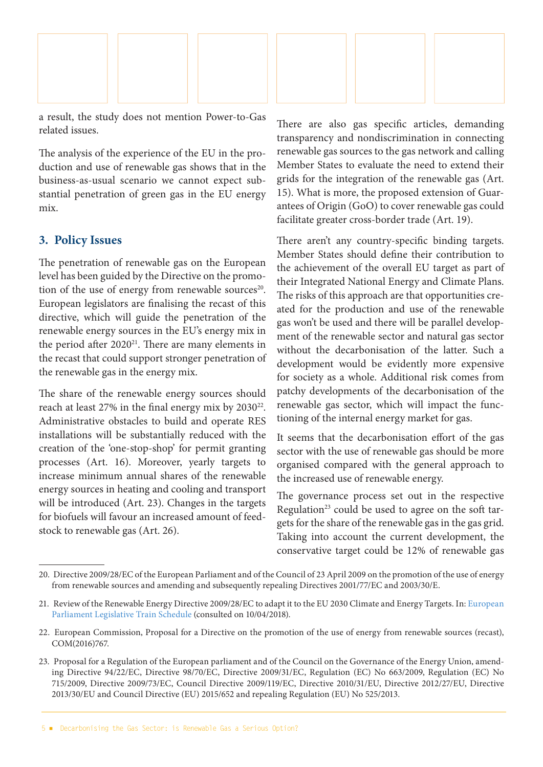

a result, the study does not mention Power-to-Gas related issues.

The analysis of the experience of the EU in the production and use of renewable gas shows that in the business-as-usual scenario we cannot expect substantial penetration of green gas in the EU energy mix.

#### **3. Policy Issues**

The penetration of renewable gas on the European level has been guided by the Directive on the promotion of the use of energy from renewable sources<sup>20</sup>. European legislators are finalising the recast of this directive, which will guide the penetration of the renewable energy sources in the EU's energy mix in the period after  $2020^{21}$ . There are many elements in the recast that could support stronger penetration of the renewable gas in the energy mix.

The share of the renewable energy sources should reach at least 27% in the final energy mix by 2030<sup>22</sup>. Administrative obstacles to build and operate RES installations will be substantially reduced with the creation of the 'one-stop-shop' for permit granting processes (Art. 16). Moreover, yearly targets to increase minimum annual shares of the renewable energy sources in heating and cooling and transport will be introduced (Art. 23). Changes in the targets for biofuels will favour an increased amount of feedstock to renewable gas (Art. 26).

There are also gas specific articles, demanding transparency and nondiscrimination in connecting renewable gas sources to the gas network and calling Member States to evaluate the need to extend their grids for the integration of the renewable gas (Art. 15). What is more, the proposed extension of Guarantees of Origin (GoO) to cover renewable gas could facilitate greater cross-border trade (Art. 19).

There aren't any country-specific binding targets. Member States should define their contribution to the achievement of the overall EU target as part of their Integrated National Energy and Climate Plans. The risks of this approach are that opportunities created for the production and use of the renewable gas won't be used and there will be parallel development of the renewable sector and natural gas sector without the decarbonisation of the latter. Such a development would be evidently more expensive for society as a whole. Additional risk comes from patchy developments of the decarbonisation of the renewable gas sector, which will impact the functioning of the internal energy market for gas.

It seems that the decarbonisation effort of the gas sector with the use of renewable gas should be more organised compared with the general approach to the increased use of renewable energy.

The governance process set out in the respective Regulation<sup>23</sup> could be used to agree on the soft targets for the share of the renewable gas in the gas grid. Taking into account the current development, the conservative target could be 12% of renewable gas

<sup>20.</sup> Directive 2009/28/EC of the European Parliament and of the Council of 23 April 2009 on the promotion of the use of energy from renewable sources and amending and subsequently repealing Directives 2001/77/EC and 2003/30/E.

<sup>21.</sup> Review of the Renewable Energy Directive 2009/28/EC to adapt it to the EU 2030 Climate and Energy Targets. In: [European](http://www.europarl.europa.eu/legislative-train/theme-resilient-energy-union-with-a-climate-change-policy/file-renewable-energy-directive-for-2030-with-sustainable-biomass-and-biofuels)  [Parliament Legislative Train Schedule](http://www.europarl.europa.eu/legislative-train/theme-resilient-energy-union-with-a-climate-change-policy/file-renewable-energy-directive-for-2030-with-sustainable-biomass-and-biofuels) (consulted on 10/04/2018).

<sup>22.</sup> European Commission, Proposal for a Directive on the promotion of the use of energy from renewable sources (recast), COM(2016)767.

<sup>23.</sup> Proposal for a Regulation of the European parliament and of the Council on the Governance of the Energy Union, amending Directive 94/22/EC, Directive 98/70/EC, Directive 2009/31/EC, Regulation (EC) No 663/2009, Regulation (EC) No 715/2009, Directive 2009/73/EC, Council Directive 2009/119/EC, Directive 2010/31/EU, Directive 2012/27/EU, Directive 2013/30/EU and Council Directive (EU) 2015/652 and repealing Regulation (EU) No 525/2013.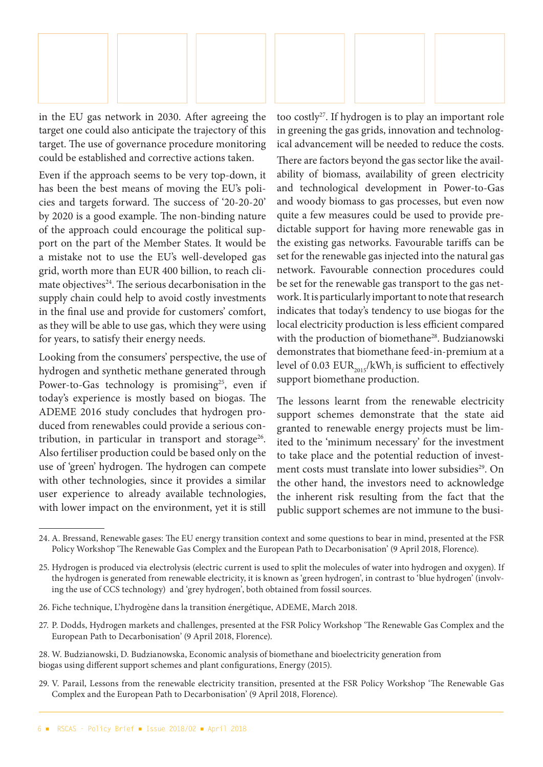

in the EU gas network in 2030. After agreeing the target one could also anticipate the trajectory of this target. The use of governance procedure monitoring could be established and corrective actions taken.

Even if the approach seems to be very top-down, it has been the best means of moving the EU's policies and targets forward. The success of '20-20-20' by 2020 is a good example. The non-binding nature of the approach could encourage the political support on the part of the Member States. It would be a mistake not to use the EU's well-developed gas grid, worth more than EUR 400 billion, to reach climate objectives<sup>24</sup>. The serious decarbonisation in the supply chain could help to avoid costly investments in the final use and provide for customers' comfort, as they will be able to use gas, which they were using for years, to satisfy their energy needs.

Looking from the consumers' perspective, the use of hydrogen and synthetic methane generated through Power-to-Gas technology is promising<sup>25</sup>, even if today's experience is mostly based on biogas. The ADEME 2016 study concludes that hydrogen produced from renewables could provide a serious contribution, in particular in transport and storage<sup>26</sup>. Also fertiliser production could be based only on the use of 'green' hydrogen. The hydrogen can compete with other technologies, since it provides a similar user experience to already available technologies, with lower impact on the environment, yet it is still

too costly27. If hydrogen is to play an important role in greening the gas grids, innovation and technological advancement will be needed to reduce the costs. There are factors beyond the gas sector like the availability of biomass, availability of green electricity and technological development in Power-to-Gas and woody biomass to gas processes, but even now quite a few measures could be used to provide predictable support for having more renewable gas in the existing gas networks. Favourable tariffs can be set for the renewable gas injected into the natural gas network. Favourable connection procedures could be set for the renewable gas transport to the gas network. It is particularly important to note that research indicates that today's tendency to use biogas for the local electricity production is less efficient compared with the production of biomethane<sup>28</sup>. Budzianowski demonstrates that biomethane feed-in-premium at a level of 0.03  $EUR_{2015}/kWh_f$  is sufficient to effectively support biomethane production.

The lessons learnt from the renewable electricity support schemes demonstrate that the state aid granted to renewable energy projects must be limited to the 'minimum necessary' for the investment to take place and the potential reduction of investment costs must translate into lower subsidies<sup>29</sup>. On the other hand, the investors need to acknowledge the inherent risk resulting from the fact that the public support schemes are not immune to the busi-

27. P. Dodds, Hydrogen markets and challenges, presented at the FSR Policy Workshop 'The Renewable Gas Complex and the European Path to Decarbonisation' (9 April 2018, Florence).

28. W. Budzianowski, D. Budzianowska, Economic analysis of biomethane and bioelectricity generation from biogas using different support schemes and plant configurations, Energy (2015).

29. V. Parail, Lessons from the renewable electricity transition, presented at the FSR Policy Workshop 'The Renewable Gas Complex and the European Path to Decarbonisation' (9 April 2018, Florence).

<sup>24.</sup> A. Bressand, Renewable gases: The EU energy transition context and some questions to bear in mind, presented at the FSR Policy Workshop 'The Renewable Gas Complex and the European Path to Decarbonisation' (9 April 2018, Florence).

<sup>25.</sup> Hydrogen is produced via electrolysis (electric current is used to split the molecules of water into hydrogen and oxygen). If the hydrogen is generated from renewable electricity, it is known as 'green hydrogen', in contrast to 'blue hydrogen' (involving the use of CCS technology) and 'grey hydrogen', both obtained from fossil sources.

<sup>26.</sup> Fiche technique, L'hydrogène dans la transition énergétique, ADEME, March 2018.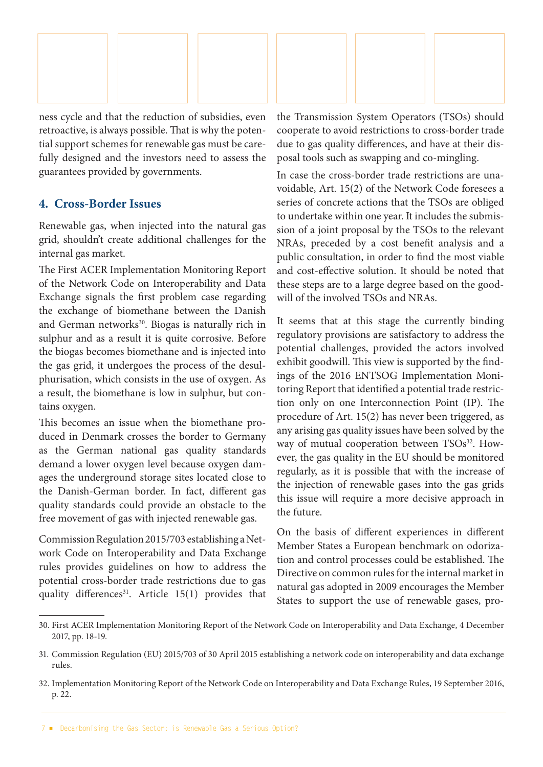

ness cycle and that the reduction of subsidies, even retroactive, is always possible. That is why the potential support schemes for renewable gas must be carefully designed and the investors need to assess the guarantees provided by governments.

#### **4. Cross-Border Issues**

Renewable gas, when injected into the natural gas grid, shouldn't create additional challenges for the internal gas market.

The First ACER Implementation Monitoring Report of the Network Code on Interoperability and Data Exchange signals the first problem case regarding the exchange of biomethane between the Danish and German networks<sup>30</sup>. Biogas is naturally rich in sulphur and as a result it is quite corrosive. Before the biogas becomes biomethane and is injected into the gas grid, it undergoes the process of the desulphurisation, which consists in the use of oxygen. As a result, the biomethane is low in sulphur, but contains oxygen.

This becomes an issue when the biomethane produced in Denmark crosses the border to Germany as the German national gas quality standards demand a lower oxygen level because oxygen damages the underground storage sites located close to the Danish-German border. In fact, different gas quality standards could provide an obstacle to the free movement of gas with injected renewable gas.

Commission Regulation 2015/703 establishing a Network Code on Interoperability and Data Exchange rules provides guidelines on how to address the potential cross-border trade restrictions due to gas quality differences<sup>31</sup>. Article  $15(1)$  provides that the Transmission System Operators (TSOs) should cooperate to avoid restrictions to cross-border trade due to gas quality differences, and have at their disposal tools such as swapping and co-mingling.

In case the cross-border trade restrictions are unavoidable, Art. 15(2) of the Network Code foresees a series of concrete actions that the TSOs are obliged to undertake within one year. It includes the submission of a joint proposal by the TSOs to the relevant NRAs, preceded by a cost benefit analysis and a public consultation, in order to find the most viable and cost-effective solution. It should be noted that these steps are to a large degree based on the goodwill of the involved TSOs and NRAs.

It seems that at this stage the currently binding regulatory provisions are satisfactory to address the potential challenges, provided the actors involved exhibit goodwill. This view is supported by the findings of the 2016 ENTSOG Implementation Monitoring Report that identified a potential trade restriction only on one Interconnection Point (IP). The procedure of Art. 15(2) has never been triggered, as any arising gas quality issues have been solved by the way of mutual cooperation between TSOs<sup>32</sup>. However, the gas quality in the EU should be monitored regularly, as it is possible that with the increase of the injection of renewable gases into the gas grids this issue will require a more decisive approach in the future.

On the basis of different experiences in different Member States a European benchmark on odorization and control processes could be established. The Directive on common rules for the internal market in natural gas adopted in 2009 encourages the Member States to support the use of renewable gases, pro-

<sup>30.</sup> First ACER Implementation Monitoring Report of the Network Code on Interoperability and Data Exchange, 4 December 2017, pp. 18-19.

<sup>31.</sup> Commission Regulation (EU) 2015/703 of 30 April 2015 establishing a network code on interoperability and data exchange rules.

<sup>32.</sup> Implementation Monitoring Report of the Network Code on Interoperability and Data Exchange Rules, 19 September 2016, p. 22.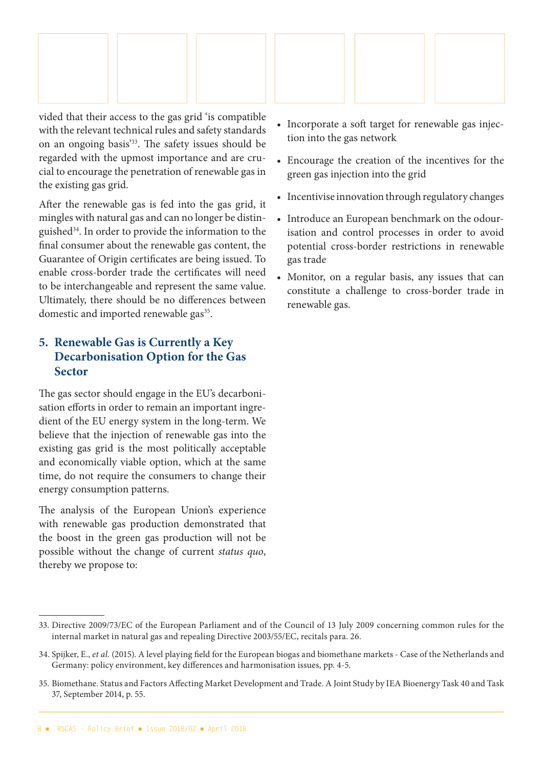

vided that their access to the gas grid 'is compatible with the relevant technical rules and safety standards on an ongoing basis'33. The safety issues should be regarded with the upmost importance and are crucial to encourage the penetration of renewable gas in the existing gas grid.

After the renewable gas is fed into the gas grid, it mingles with natural gas and can no longer be distinguished34. In order to provide the information to the final consumer about the renewable gas content, the Guarantee of Origin certificates are being issued. To enable cross-border trade the certificates will need to be interchangeable and represent the same value. Ultimately, there should be no differences between domestic and imported renewable gas<sup>35</sup>.

### **5. Renewable Gas is Currently a Key Decarbonisation Option for the Gas Sector**

The gas sector should engage in the EU's decarbonisation efforts in order to remain an important ingredient of the EU energy system in the long-term. We believe that the injection of renewable gas into the existing gas grid is the most politically acceptable and economically viable option, which at the same time, do not require the consumers to change their energy consumption patterns.

The analysis of the European Union's experience with renewable gas production demonstrated that the boost in the green gas production will not be possible without the change of current *status quo*, thereby we propose to:

- Incorporate a soft target for renewable gas injection into the gas network
- Encourage the creation of the incentives for the green gas injection into the grid
- Incentivise innovation through regulatory changes
- Introduce an European benchmark on the odourisation and control processes in order to avoid potential cross-border restrictions in renewable gas trade
- Monitor, on a regular basis, any issues that can constitute a challenge to cross-border trade in renewable gas.

<sup>33.</sup> Directive 2009/73/EC of the European Parliament and of the Council of 13 July 2009 concerning common rules for the internal market in natural gas and repealing Directive 2003/55/EC, recitals para. 26.

<sup>34.</sup> Spijker, E., *et al.* (2015). A level playing field for the European biogas and biomethane markets - Case of the Netherlands and Germany: policy environment, key differences and harmonisation issues, pp. 4-5.

<sup>35.</sup> Biomethane. Status and Factors Affecting Market Development and Trade. A Joint Study by IEA Bioenergy Task 40 and Task 37, September 2014, p. 55.